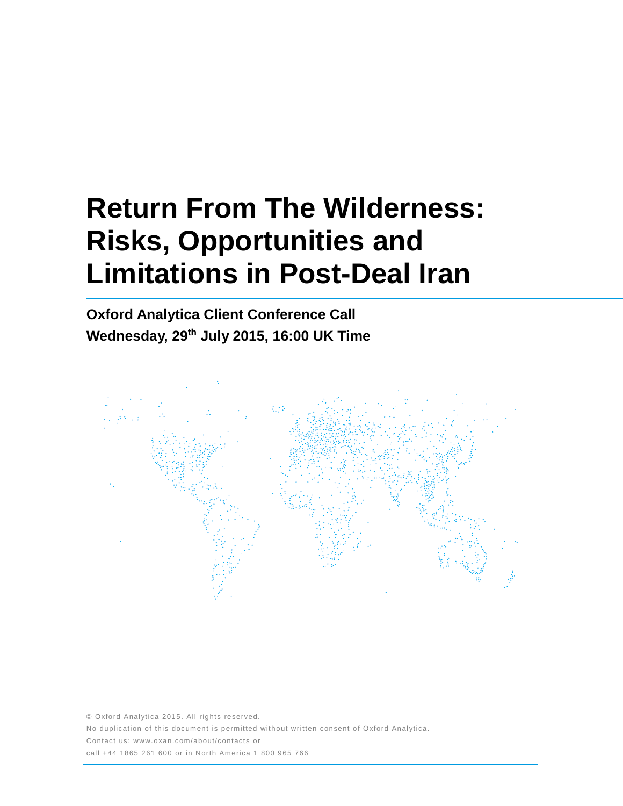# **Return From The Wilderness: Risks, Opportunities and Limitations in Post-Deal Iran**

**Oxford Analytica Client Conference Call Wednesday, 29th July 2015, 16:00 UK Time**



© Oxford Analytica 2015. All rights reserved. No duplication of this document is permitted without written consent of Oxford Analytica. Contact us: www.oxan.com/about/contacts or call +44 1865 261 600 or in North America 1 800 965 766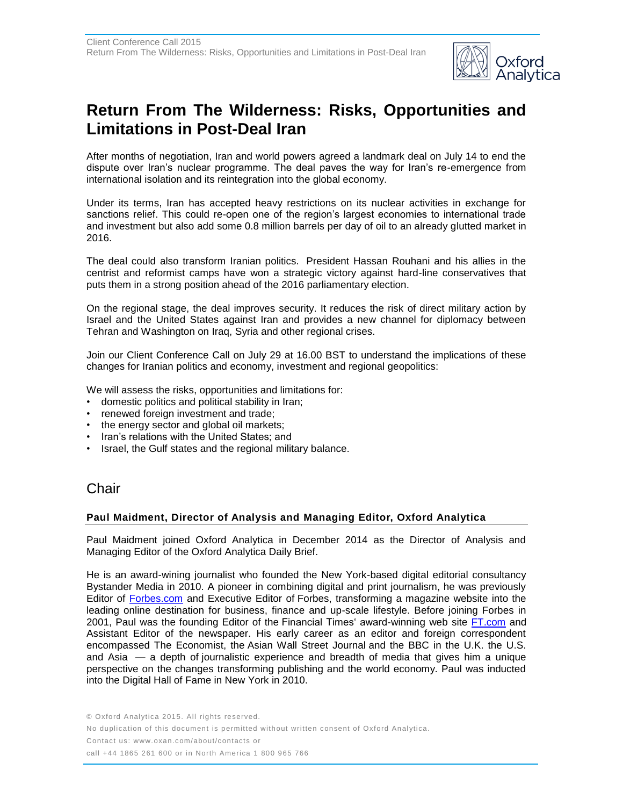

## **Return From The Wilderness: Risks, Opportunities and Limitations in Post-Deal Iran**

After months of negotiation, Iran and world powers agreed a landmark deal on July 14 to end the dispute over Iran's nuclear programme. The deal paves the way for Iran's re-emergence from international isolation and its reintegration into the global economy.

Under its terms, Iran has accepted heavy restrictions on its nuclear activities in exchange for sanctions relief. This could re-open one of the region's largest economies to international trade and investment but also add some 0.8 million barrels per day of oil to an already glutted market in 2016.

The deal could also transform Iranian politics. President Hassan Rouhani and his allies in the centrist and reformist camps have won a strategic victory against hard-line conservatives that puts them in a strong position ahead of the 2016 parliamentary election.

On the regional stage, the deal improves security. It reduces the risk of direct military action by Israel and the United States against Iran and provides a new channel for diplomacy between Tehran and Washington on Iraq, Syria and other regional crises.

Join our Client Conference Call on July 29 at 16.00 BST to understand the implications of these changes for Iranian politics and economy, investment and regional geopolitics:

We will assess the risks, opportunities and limitations for:

- domestic politics and political stability in Iran;
- renewed foreign investment and trade;
- the energy sector and global oil markets;
- Iran's relations with the United States; and
- Israel, the Gulf states and the regional military balance.

## **Chair**

#### **Paul Maidment, Director of Analysis and Managing Editor, Oxford Analytica**

Paul Maidment joined Oxford Analytica in December 2014 as the Director of Analysis and Managing Editor of the Oxford Analytica Daily Brief.

He is an award-wining journalist who founded the New York-based digital editorial consultancy Bystander Media in 2010. A pioneer in combining digital and print journalism, he was previously Editor of [Forbes.com](http://forbes.com/) and Executive Editor of Forbes, transforming a magazine website into the leading online destination for business, finance and up-scale lifestyle. Before joining Forbes in 2001, Paul was the founding Editor of the Financial Times' award-winning web site [FT.com](http://ft.com/) and Assistant Editor of the newspaper. His early career as an editor and foreign correspondent encompassed The Economist, the Asian Wall Street Journal and the BBC in the U.K. the U.S. and Asia — a depth of journalistic experience and breadth of media that gives him a unique perspective on the changes transforming publishing and the world economy. Paul was inducted into the Digital Hall of Fame in New York in 2010.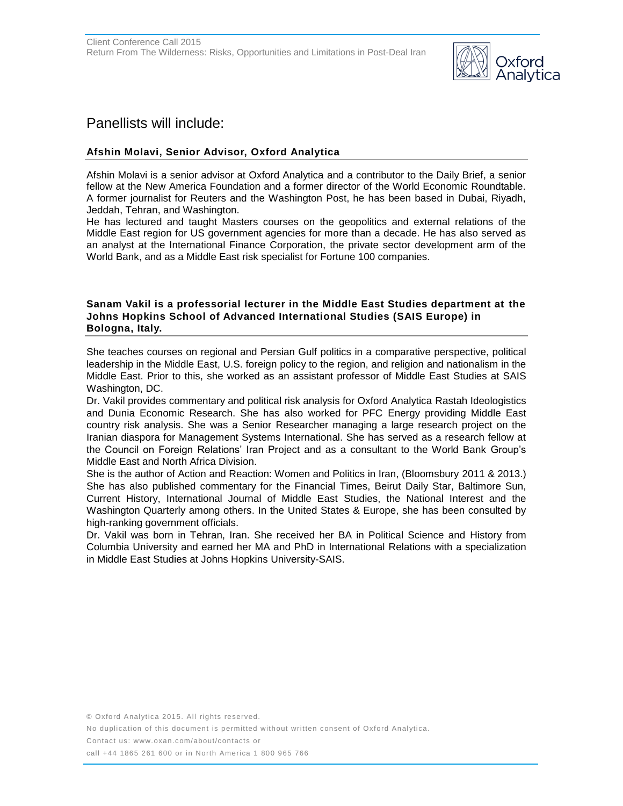

## Panellists will include:

## **Afshin Molavi, Senior Advisor, Oxford Analytica**

Afshin Molavi is a senior advisor at Oxford Analytica and a contributor to the Daily Brief, a senior fellow at the New America Foundation and a former director of the World Economic Roundtable. A former journalist for Reuters and the Washington Post, he has been based in Dubai, Riyadh, Jeddah, Tehran, and Washington.

He has lectured and taught Masters courses on the geopolitics and external relations of the Middle East region for US government agencies for more than a decade. He has also served as an analyst at the International Finance Corporation, the private sector development arm of the World Bank, and as a Middle East risk specialist for Fortune 100 companies.

#### **Sanam Vakil is a professorial lecturer in the Middle East Studies department at the Johns Hopkins School of Advanced International Studies (SAIS Europe) in Bologna, Italy.**

She teaches courses on regional and Persian Gulf politics in a comparative perspective, political leadership in the Middle East, U.S. foreign policy to the region, and religion and nationalism in the Middle East. Prior to this, she worked as an assistant professor of Middle East Studies at SAIS Washington, DC.

Dr. Vakil provides commentary and political risk analysis for Oxford Analytica Rastah Ideologistics and Dunia Economic Research. She has also worked for PFC Energy providing Middle East country risk analysis. She was a Senior Researcher managing a large research project on the Iranian diaspora for Management Systems International. She has served as a research fellow at the Council on Foreign Relations' Iran Project and as a consultant to the World Bank Group's Middle East and North Africa Division.

She is the author of Action and Reaction: Women and Politics in Iran, (Bloomsbury 2011 & 2013.) She has also published commentary for the Financial Times, Beirut Daily Star, Baltimore Sun, Current History, International Journal of Middle East Studies, the National Interest and the Washington Quarterly among others. In the United States & Europe, she has been consulted by high-ranking government officials.

Dr. Vakil was born in Tehran, Iran. She received her BA in Political Science and History from Columbia University and earned her MA and PhD in International Relations with a specialization in Middle East Studies at Johns Hopkins University-SAIS.

© Oxford Analytica 2015. All rights reserved.

No duplication of this document is permitted without written consent of Oxford Analytica.

Contact us: www.oxan.com/about/contacts or

call +44 1865 261 600 or in North America 1 800 965 766